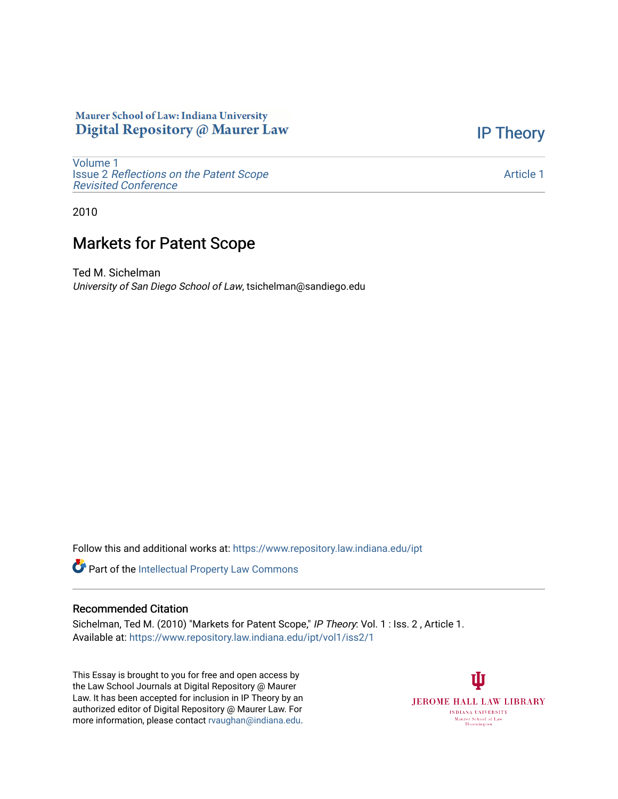## Maurer School of Law: Indiana University Digital Repository @ Maurer Law

[IP Theory](https://www.repository.law.indiana.edu/ipt) 

[Volume 1](https://www.repository.law.indiana.edu/ipt/vol1) Issue 2 [Reflections on the Patent Scope](https://www.repository.law.indiana.edu/ipt/vol1/iss2)  [Revisited Conference](https://www.repository.law.indiana.edu/ipt/vol1/iss2)

[Article 1](https://www.repository.law.indiana.edu/ipt/vol1/iss2/1) 

2010

## Markets for Patent Scope

Ted M. Sichelman University of San Diego School of Law, tsichelman@sandiego.edu

Follow this and additional works at: [https://www.repository.law.indiana.edu/ipt](https://www.repository.law.indiana.edu/ipt?utm_source=www.repository.law.indiana.edu%2Fipt%2Fvol1%2Fiss2%2F1&utm_medium=PDF&utm_campaign=PDFCoverPages) 

Part of the [Intellectual Property Law Commons](http://network.bepress.com/hgg/discipline/896?utm_source=www.repository.law.indiana.edu%2Fipt%2Fvol1%2Fiss2%2F1&utm_medium=PDF&utm_campaign=PDFCoverPages) 

## Recommended Citation

Sichelman, Ted M. (2010) "Markets for Patent Scope," IP Theory: Vol. 1 : Iss. 2, Article 1. Available at: [https://www.repository.law.indiana.edu/ipt/vol1/iss2/1](https://www.repository.law.indiana.edu/ipt/vol1/iss2/1?utm_source=www.repository.law.indiana.edu%2Fipt%2Fvol1%2Fiss2%2F1&utm_medium=PDF&utm_campaign=PDFCoverPages) 

This Essay is brought to you for free and open access by the Law School Journals at Digital Repository @ Maurer Law. It has been accepted for inclusion in IP Theory by an authorized editor of Digital Repository @ Maurer Law. For more information, please contact [rvaughan@indiana.edu](mailto:rvaughan@indiana.edu).

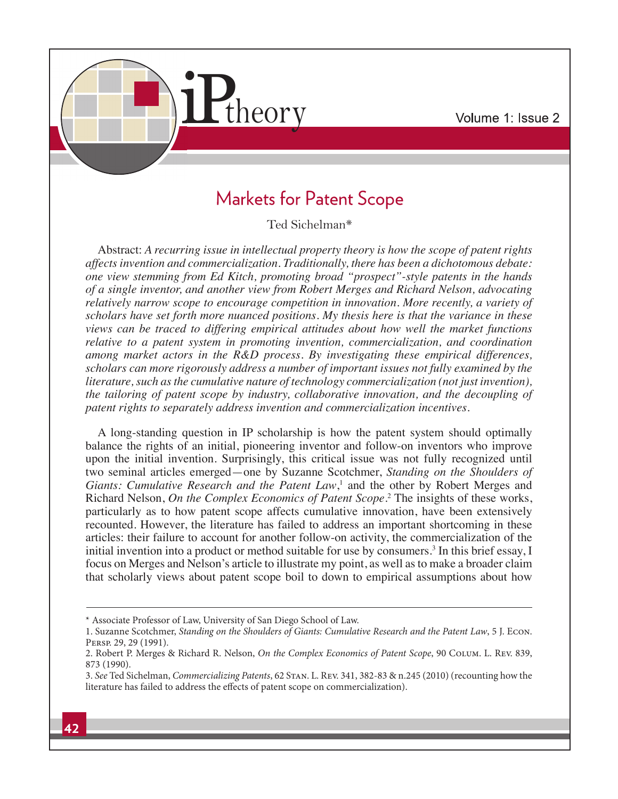

## **Markets for Patent Scope**

Ted Sichelman\*

Abstract: *A recurring issue in intellectual property theory is how the scope of patent rights affects invention and commercialization. Traditionally, there has been a dichotomous debate: one view stemming from Ed Kitch, promoting broad "prospect"-style patents in the hands of a single inventor, and another view from Robert Merges and Richard Nelson, advocating relatively narrow scope to encourage competition in innovation. More recently, a variety of scholars have set forth more nuanced positions. My thesis here is that the variance in these views can be traced to differing empirical attitudes about how well the market functions relative to a patent system in promoting invention, commercialization, and coordination among market actors in the R&D process. By investigating these empirical differences, scholars can more rigorously address a number of important issues not fully examined by the literature, such as the cumulative nature of technology commercialization (not just invention), the tailoring of patent scope by industry, collaborative innovation, and the decoupling of patent rights to separately address invention and commercialization incentives.*

A long-standing question in IP scholarship is how the patent system should optimally balance the rights of an initial, pioneering inventor and follow-on inventors who improve upon the initial invention. Surprisingly, this critical issue was not fully recognized until two seminal articles emerged—one by Suzanne Scotchmer, *Standing on the Shoulders of*  Giants: Cumulative Research and the Patent Law,<sup>1</sup> and the other by Robert Merges and Richard Nelson, *On the Complex Economics of Patent Scope*. 2 The insights of these works, particularly as to how patent scope affects cumulative innovation, have been extensively recounted. However, the literature has failed to address an important shortcoming in these articles: their failure to account for another follow-on activity, the commercialization of the initial invention into a product or method suitable for use by consumers.<sup>3</sup> In this brief essay, I focus on Merges and Nelson's article to illustrate my point, as well as to make a broader claim that scholarly views about patent scope boil to down to empirical assumptions about how

<sup>\*</sup> Associate Professor of Law, University of San Diego School of Law.

<sup>1.</sup> Suzanne Scotchmer, Standing on the Shoulders of Giants: Cumulative Research and the Patent Law, 5 J. Econ. Persp. 29, 29 (1991).

<sup>2.</sup> Robert P. Merges & Richard R. Nelson, On the Complex Economics of Patent Scope, 90 COLUM. L. REV. 839, 873 (1990).

<sup>3.</sup> See Ted Sichelman, Commercializing Patents, 62 Stan. L. Rev. 341, 382-83 & n.245 (2010) (recounting how the literature has failed to address the effects of patent scope on commercialization).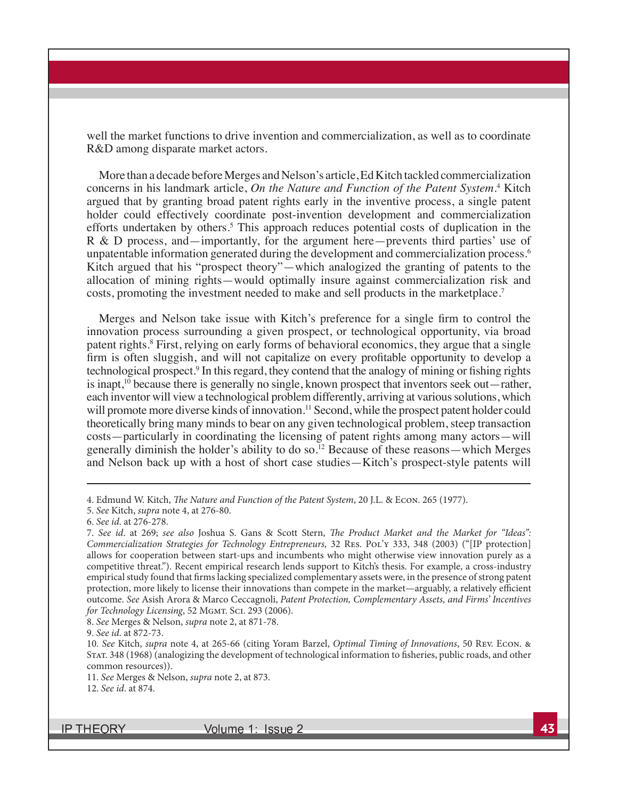well the market functions to drive invention and commercialization, as well as to coordinate R&D among disparate market actors.

More than a decade before Merges and Nelson's article, Ed Kitch tackled commercialization concerns in his landmark article, On the Nature and Function of the Patent System.<sup>4</sup> Kitch argued that by granting broad patent rights early in the inventive process, a single patent holder could effectively coordinate post-invention development and commercialization efforts undertaken by others.<sup>5</sup> This approach reduces potential costs of duplication in the R & D process, and—importantly, for the argument here—prevents third parties' use of unpatentable information generated during the development and commercialization process.<sup>6</sup> Kitch argued that his "prospect theory"—which analogized the granting of patents to the allocation of mining rights—would optimally insure against commercialization risk and costs, promoting the investment needed to make and sell products in the marketplace.<sup>7</sup>

Merges and Nelson take issue with Kitch's preference for a single firm to control the innovation process surrounding a given prospect, or technological opportunity, via broad patent rights.<sup>8</sup> First, relying on early forms of behavioral economics, they argue that a single firm is often sluggish, and will not capitalize on every profitable opportunity to develop a technological prospect.<sup>9</sup> In this regard, they contend that the analogy of mining or fishing rights is inapt, $10$  because there is generally no single, known prospect that inventors seek out—rather, each inventor will view a technological problem differently, arriving at various solutions, which will promote more diverse kinds of innovation.<sup>11</sup> Second, while the prospect patent holder could theoretically bring many minds to bear on any given technological problem, steep transaction costs—particularly in coordinating the licensing of patent rights among many actors—will generally diminish the holder's ability to do so.<sup>12</sup> Because of these reasons—which Merges and Nelson back up with a host of short case studies—Kitch's prospect-style patents will

8. See Merges & Nelson, supra note 2, at 871-78.

9. See id. at 872-73.

**IP THEORY** 

<sup>4.</sup> Edmund W. Kitch, The Nature and Function of the Patent System, 20 J.L. & ECON. 265 (1977).

<sup>5.</sup> See Kitch, supra note 4, at 276-80.

<sup>6.</sup> See id. at 276-278.

<sup>7.</sup> See id. at 269; see also Joshua S. Gans & Scott Stern, The Product Market and the Market for "Ideas": Commercialization Strategies for Technology Entrepreneurs, 32 RES. POL'Y 333, 348 (2003) ("[IP protection] allows for cooperation between start-ups and incumbents who might otherwise view innovation purely as a competitive threat."). Recent empirical research lends support to Kitch's thesis. For example, a cross-industry empirical study found that firms lacking specialized complementary assets were, in the presence of strong patent protection, more likely to license their innovations than compete in the market—arguably, a relatively efficient outcome. See Asish Arora & Marco Ceccagnoli, Patent Protection, Complementary Assets, and Firms' Incentives for Technology Licensing, 52 MGMT. SCI. 293 (2006).

<sup>10.</sup> See Kitch, supra note 4, at 265-66 (citing Yoram Barzel, Optimal Timing of Innovations, 50 Rev. Econ. & STAT. 348 (1968) (analogizing the development of technological information to fisheries, public roads, and other common resources)).

<sup>11.</sup> See Merges & Nelson, supra note 2, at 873.

<sup>12.</sup> See id. at 874.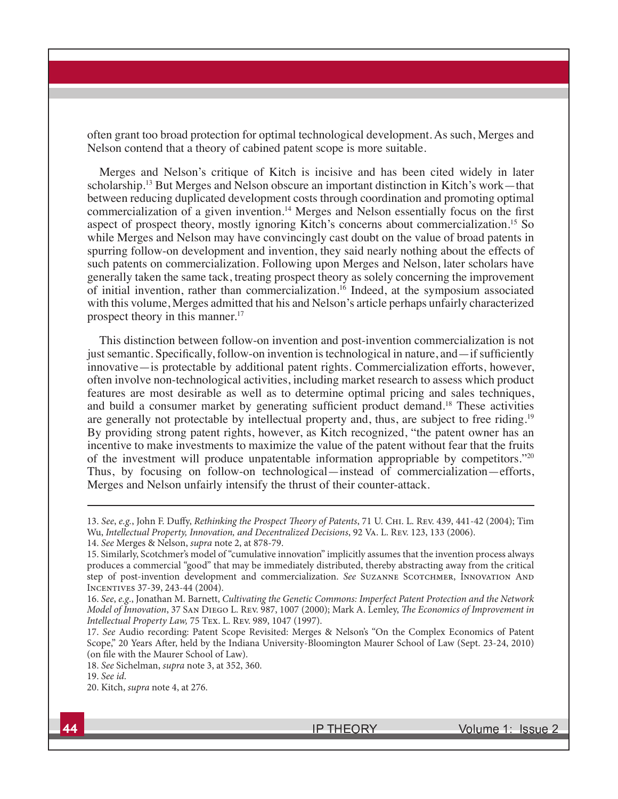often grant too broad protection for optimal technological development. As such, Merges and Nelson contend that a theory of cabined patent scope is more suitable.

Merges and Nelson's critique of Kitch is incisive and has been cited widely in later scholarship.<sup>13</sup> But Merges and Nelson obscure an important distinction in Kitch's work—that between reducing duplicated development costs through coordination and promoting optimal commercialization of a given invention.<sup>14</sup> Merges and Nelson essentially focus on the first aspect of prospect theory, mostly ignoring Kitch's concerns about commercialization.<sup>15</sup> So while Merges and Nelson may have convincingly cast doubt on the value of broad patents in spurring follow-on development and invention, they said nearly nothing about the effects of such patents on commercialization. Following upon Merges and Nelson, later scholars have generally taken the same tack, treating prospect theory as solely concerning the improvement of initial invention, rather than commercialization.<sup>16</sup> Indeed, at the symposium associated with this volume, Merges admitted that his and Nelson's article perhaps unfairly characterized prospect theory in this manner.<sup>17</sup>

This distinction between follow-on invention and post-invention commercialization is not just semantic. Specifically, follow-on invention is technological in nature, and  $\overline{-}$  if sufficiently innovative—is protectable by additional patent rights. Commercialization efforts, however, often involve non-technological activities, including market research to assess which product features are most desirable as well as to determine optimal pricing and sales techniques, and build a consumer market by generating sufficient product demand.<sup>18</sup> These activities are generally not protectable by intellectual property and, thus, are subject to free riding.<sup>19</sup> By providing strong patent rights, however, as Kitch recognized, "the patent owner has an incentive to make investments to maximize the value of the patent without fear that the fruits of the investment will produce unpatentable information appropriable by competitors."<sup>20</sup> Thus, by focusing on follow-on technological—instead of commercialization—efforts, Merges and Nelson unfairly intensify the thrust of their counter-attack.

<sup>13.</sup> See, e.g., John F. Duffy, Rethinking the Prospect Theory of Patents, 71 U. CHI. L. REV. 439, 441-42 (2004); Tim Wu, Intellectual Property, Innovation, and Decentralized Decisions, 92 Va. L. Rev. 123, 133 (2006).

<sup>14.</sup> See Merges & Nelson, supra note 2, at 878-79.

<sup>15.</sup> Similarly, Scotchmer's model of "cumulative innovation" implicitly assumes that the invention process always produces a commercial "good" that may be immediately distributed, thereby abstracting away from the critical step of post-invention development and commercialization. See SUZANNE SCOTCHMER, INNOVATION AND Incentives 37-39, 243-44 (2004).

<sup>16.</sup> See, e.g., Jonathan M. Barnett, Cultivating the Genetic Commons: Imperfect Patent Protection and the Network Model of Innovation, 37 SAN DIEGO L. REV. 987, 1007 (2000); Mark A. Lemley, The Economics of Improvement in Intellectual Property Law, 75 Tex. L. Rev. 989, 1047 (1997).

<sup>17.</sup> See Audio recording: Patent Scope Revisited: Merges & Nelson's "On the Complex Economics of Patent Scope," 20 Years After, held by the Indiana University-Bloomington Maurer School of Law (Sept. 23-24, 2010) (on file with the Maurer School of Law).

<sup>18.</sup> See Sichelman, supra note 3, at 352, 360.

<sup>19.</sup> See id.

<sup>20.</sup> Kitch, supra note 4, at 276.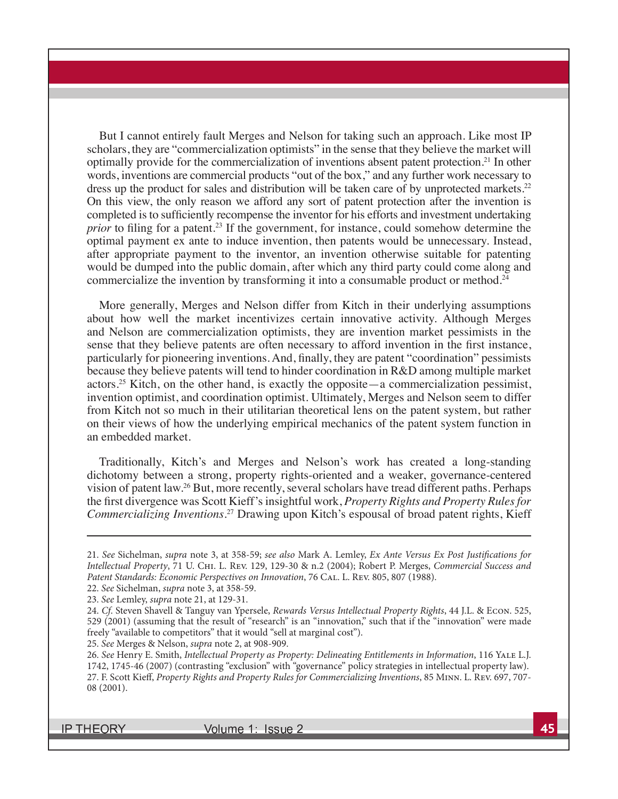But I cannot entirely fault Merges and Nelson for taking such an approach. Like most IP scholars, they are "commercialization optimists" in the sense that they believe the market will optimally provide for the commercialization of inventions absent patent protection.<sup>21</sup> In other words, inventions are commercial products "out of the box," and any further work necessary to dress up the product for sales and distribution will be taken care of by unprotected markets.<sup>22</sup> On this view, the only reason we afford any sort of patent protection after the invention is completed is to sufficiently recompense the inventor for his efforts and investment undertaking *prior* to filing for a patent.<sup>23</sup> If the government, for instance, could somehow determine the optimal payment ex ante to induce invention, then patents would be unnecessary. Instead, after appropriate payment to the inventor, an invention otherwise suitable for patenting would be dumped into the public domain, after which any third party could come along and commercialize the invention by transforming it into a consumable product or method.<sup>24</sup>

More generally, Merges and Nelson differ from Kitch in their underlying assumptions about how well the market incentivizes certain innovative activity. Although Merges and Nelson are commercialization optimists, they are invention market pessimists in the sense that they believe patents are often necessary to afford invention in the first instance, particularly for pioneering inventions. And, finally, they are patent "coordination" pessimists because they believe patents will tend to hinder coordination in R&D among multiple market actors.<sup>25</sup> Kitch, on the other hand, is exactly the opposite—a commercialization pessimist, invention optimist, and coordination optimist. Ultimately, Merges and Nelson seem to differ from Kitch not so much in their utilitarian theoretical lens on the patent system, but rather on their views of how the underlying empirical mechanics of the patent system function in an embedded market.

Traditionally, Kitch's and Merges and Nelson's work has created a long-standing dichotomy between a strong, property rights-oriented and a weaker, governance-centered vision of patent law.<sup>26</sup> But, more recently, several scholars have tread different paths. Perhaps the first divergence was Scott Kieff's insightful work, *Property Rights and Property Rules for Commercializing Inventions*. <sup>27</sup> Drawing upon Kitch's espousal of broad patent rights, Kieff

25. See Merges & Nelson, supra note 2, at 908-909.

**IP THEORY** 

<sup>21.</sup> See Sichelman, supra note 3, at 358-59; see also Mark A. Lemley, Ex Ante Versus Ex Post Justifications for Intellectual Property, 71 U. Chi. L. Rev. 129, 129-30 & n.2 (2004); Robert P. Merges, Commercial Success and Patent Standards: Economic Perspectives on Innovation, 76 CAL. L. REV. 805, 807 (1988).

<sup>22.</sup> See Sichelman, supra note 3, at 358-59.

<sup>23.</sup> See Lemley, supra note 21, at 129-31.

<sup>24.</sup> Cf. Steven Shavell & Tanguy van Ypersele, Rewards Versus Intellectual Property Rights, 44 J.L. & Econ. 525, 529 (2001) (assuming that the result of "research" is an "innovation," such that if the "innovation" were made freely "available to competitors" that it would "sell at marginal cost").

<sup>26.</sup> See Henry E. Smith, Intellectual Property as Property: Delineating Entitlements in Information, 116 Yale L.J. 1742, 1745-46 (2007) (contrasting "exclusion" with "governance" policy strategies in intellectual property law). 27. F. Scott Kieff, Property Rights and Property Rules for Commercializing Inventions, 85 MINN. L. REV. 697, 707-08 (2001).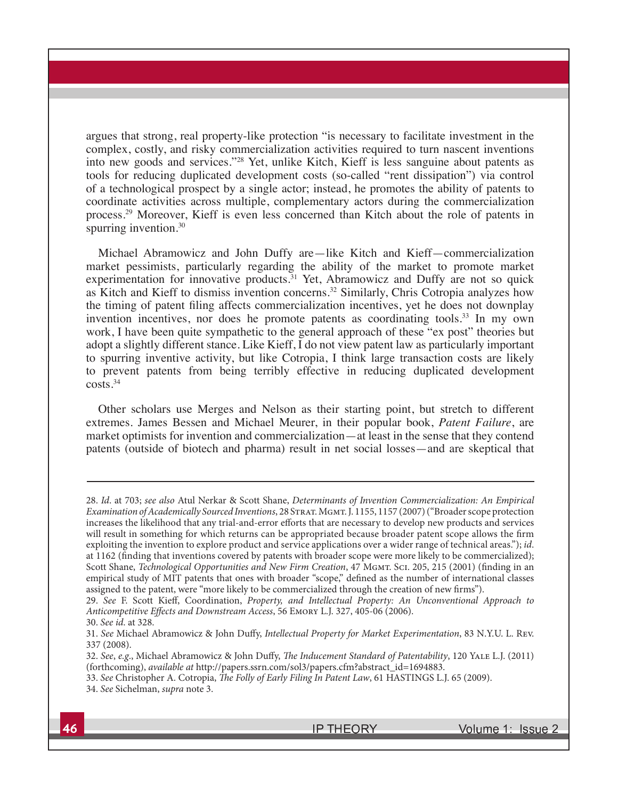argues that strong, real property-like protection "is necessary to facilitate investment in the complex, costly, and risky commercialization activities required to turn nascent inventions into new goods and services."<sup>28</sup> Yet, unlike Kitch, Kieff is less sanguine about patents as tools for reducing duplicated development costs (so-called "rent dissipation") via control of a technological prospect by a single actor; instead, he promotes the ability of patents to coordinate activities across multiple, complementary actors during the commercialization process.<sup>29</sup> Moreover, Kieff is even less concerned than Kitch about the role of patents in spurring invention.<sup>30</sup>

Michael Abramowicz and John Duffy are—like Kitch and Kieff—commercialization market pessimists, particularly regarding the ability of the market to promote market experimentation for innovative products.<sup>31</sup> Yet, Abramowicz and Duffy are not so quick as Kitch and Kieff to dismiss invention concerns.<sup>32</sup> Similarly, Chris Cotropia analyzes how the timing of patent filing affects commercialization incentives, yet he does not downplay invention incentives, nor does he promote patents as coordinating tools.<sup>33</sup> In my own work, I have been quite sympathetic to the general approach of these "ex post" theories but adopt a slightly different stance. Like Kieff, I do not view patent law as particularly important to spurring inventive activity, but like Cotropia, I think large transaction costs are likely to prevent patents from being terribly effective in reducing duplicated development costs.<sup>34</sup>

Other scholars use Merges and Nelson as their starting point, but stretch to different extremes. James Bessen and Michael Meurer, in their popular book, *Patent Failure*, are market optimists for invention and commercialization—at least in the sense that they contend patents (outside of biotech and pharma) result in net social losses—and are skeptical that

32. See, e.g., Michael Abramowicz & John Duffy, The Inducement Standard of Patentability, 120 YALE L.J. (2011) (forthcoming), available at http://papers.ssrn.com/sol3/papers.cfm?abstract\_id=1694883.

**IP THEORY** 

<sup>28.</sup> Id. at 703; see also Atul Nerkar & Scott Shane, Determinants of Invention Commercialization: An Empirical Examination of Academically Sourced Inventions, 28 STRAT. MGMT. J. 1155, 1157 (2007) ("Broader scope protection increases the likelihood that any trial-and-error efforts that are necessary to develop new products and services will result in something for which returns can be appropriated because broader patent scope allows the firm exploiting the invention to explore product and service applications over a wider range of technical areas."); id. at 1162 (finding that inventions covered by patents with broader scope were more likely to be commercialized); Scott Shane, Technological Opportunities and New Firm Creation, 47 MGMT. Sci. 205, 215 (2001) (finding in an empirical study of MIT patents that ones with broader "scope," defined as the number of international classes assigned to the patent, were "more likely to be commercialized through the creation of new firms").

<sup>29.</sup> See F. Scott Kieff, Coordination, Property, and Intellectual Property: An Unconventional Approach to Anticompetitive Effects and Downstream Access, 56 EMORY L.J. 327, 405-06 (2006). 30. See id. at 328.

<sup>31.</sup> See Michael Abramowicz & John Duffy, Intellectual Property for Market Experimentation, 83 N.Y.U. L. Rev. 337 (2008).

<sup>33.</sup> See Christopher A. Cotropia, *The Folly of Early Filing In Patent Law*, 61 HASTINGS L.J. 65 (2009). 34. See Sichelman, supra note 3.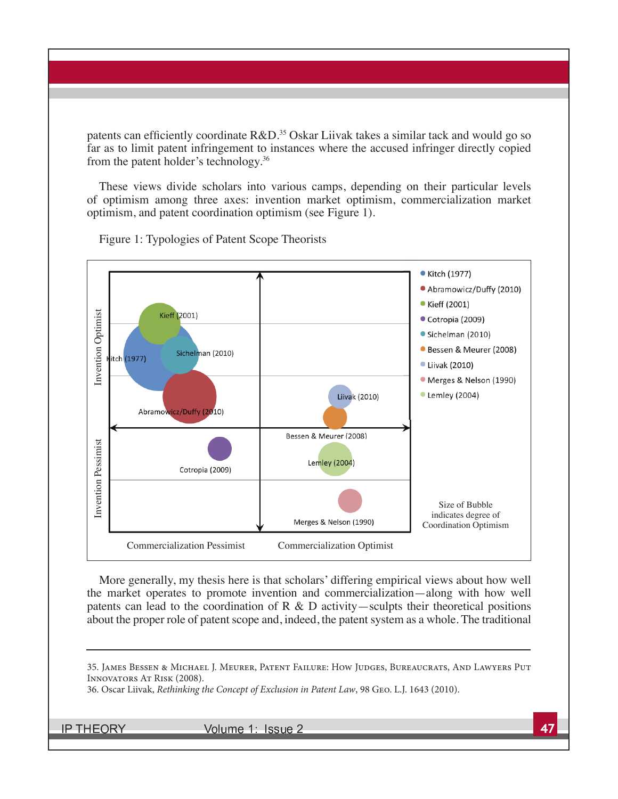patents can efficiently coordinate  $R&D$ <sup>35</sup> Oskar Liivak takes a similar tack and would go so far as to limit patent infringement to instances where the accused infringer directly copied from the patent holder's technology.<sup>36</sup>

These views divide scholars into various camps, depending on their particular levels of optimism among three axes: invention market optimism, commercialization market optimism, and patent coordination optimism (see Figure 1).



Figure 1: Typologies of Patent Scope Theorists

More generally, my thesis here is that scholars' differing empirical views about how well the market operates to promote invention and commercialization—along with how well patents can lead to the coordination of R  $\&$  D activity—sculpts their theoretical positions about the proper role of patent scope and, indeed, the patent system as a whole. The traditional

36. Oscar Liivak, Rethinking the Concept of Exclusion in Patent Law, 98 Geo. L.J. 1643 (2010).

**IP THEORY** 

<sup>35.</sup> James Bessen & Michael J. Meurer, Patent Failure: How Judges, Bureaucrats, And Lawyers Put Innovators At Risk (2008).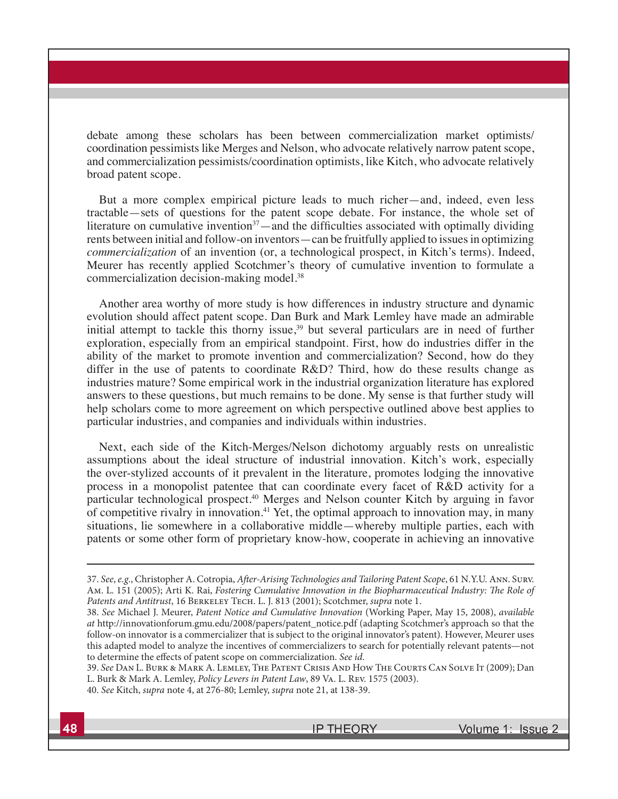debate among these scholars has been between commercialization market optimists/ coordination pessimists like Merges and Nelson, who advocate relatively narrow patent scope, and commercialization pessimists/coordination optimists, like Kitch, who advocate relatively broad patent scope.

But a more complex empirical picture leads to much richer—and, indeed, even less tractable—sets of questions for the patent scope debate. For instance, the whole set of literature on cumulative invention<sup>37</sup>—and the difficulties associated with optimally dividing rents between initial and follow-on inventors—can be fruitfully applied to issues in optimizing *commercialization* of an invention (or, a technological prospect, in Kitch's terms). Indeed, Meurer has recently applied Scotchmer's theory of cumulative invention to formulate a commercialization decision-making model.<sup>38</sup>

Another area worthy of more study is how differences in industry structure and dynamic evolution should affect patent scope. Dan Burk and Mark Lemley have made an admirable initial attempt to tackle this thorny issue,<sup>39</sup> but several particulars are in need of further exploration, especially from an empirical standpoint. First, how do industries differ in the ability of the market to promote invention and commercialization? Second, how do they differ in the use of patents to coordinate R&D? Third, how do these results change as industries mature? Some empirical work in the industrial organization literature has explored answers to these questions, but much remains to be done. My sense is that further study will help scholars come to more agreement on which perspective outlined above best applies to particular industries, and companies and individuals within industries.

Next, each side of the Kitch-Merges/Nelson dichotomy arguably rests on unrealistic assumptions about the ideal structure of industrial innovation. Kitch's work, especially the over-stylized accounts of it prevalent in the literature, promotes lodging the innovative process in a monopolist patentee that can coordinate every facet of R&D activity for a particular technological prospect.<sup>40</sup> Merges and Nelson counter Kitch by arguing in favor of competitive rivalry in innovation.<sup>41</sup> Yet, the optimal approach to innovation may, in many situations, lie somewhere in a collaborative middle—whereby multiple parties, each with patents or some other form of proprietary know-how, cooperate in achieving an innovative

<sup>37.</sup> See, e.g., Christopher A. Cotropia, After-Arising Technologies and Tailoring Patent Scope, 61 N.Y.U. Ann. Surv. Am. L. 151 (2005); Arti K. Rai, Fostering Cumulative Innovation in the Biopharmaceutical Industry: The Role of Patents and Antitrust, 16 BERKELEY TECH. L. J. 813 (2001); Scotchmer, supra note 1.

<sup>38.</sup> See Michael J. Meurer, Patent Notice and Cumulative Innovation (Working Paper, May 15, 2008), available at http://innovationforum.gmu.edu/2008/papers/patent\_notice.pdf (adapting Scotchmer's approach so that the follow-on innovator is a commercializer that is subject to the original innovator's patent). However, Meurer uses this adapted model to analyze the incentives of commercializers to search for potentially relevant patents—not to determine the effects of patent scope on commercialization. See id.

<sup>39.</sup> See Dan L. Burk & Mark A. Lemley, The Patent Crisis And How The Courts Can Solve It (2009); Dan L. Burk & Mark A. Lemley, Policy Levers in Patent Law, 89 Va. L. Rev. 1575 (2003).

<sup>40.</sup> See Kitch, supra note 4, at 276-80; Lemley, supra note 21, at 138-39.